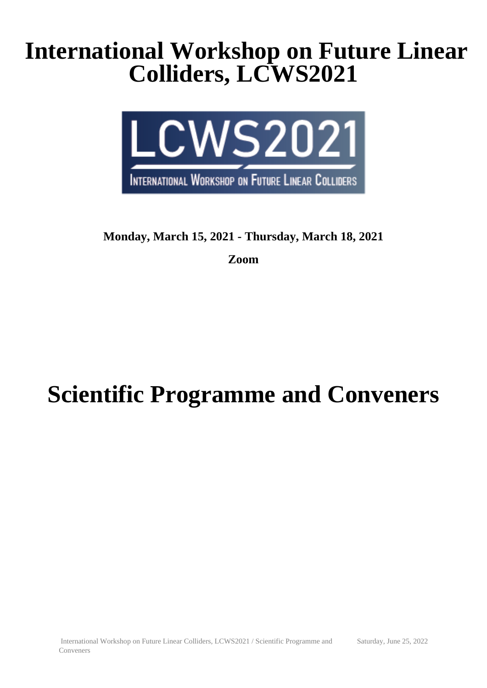## **International Workshop on Future Linear Colliders, LCWS2021**



## **Monday, March 15, 2021 - Thursday, March 18, 2021**

**Zoom**

# **Scientific Programme and Conveners**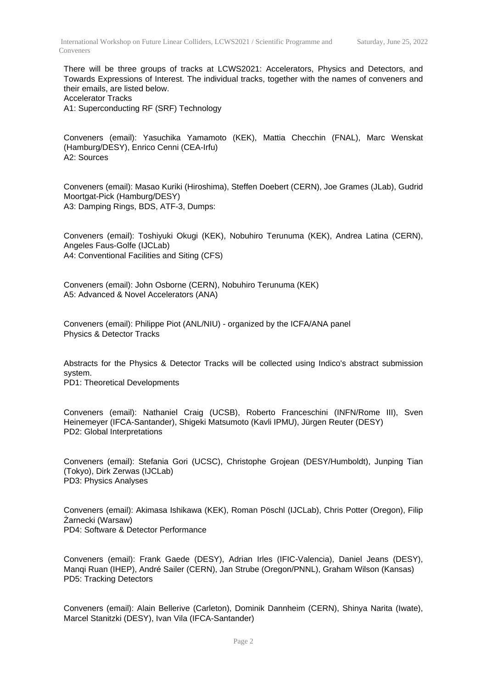There will be three groups of tracks at LCWS2021: Accelerators, Physics and Detectors, and Towards Expressions of Interest. The individual tracks, together with the names of conveners and their emails, are listed below. Accelerator Tracks

A1: Superconducting RF (SRF) Technology

Conveners (email): Yasuchika Yamamoto (KEK), Mattia Checchin (FNAL), Marc Wenskat (Hamburg/DESY), Enrico Cenni (CEA-Irfu) A2: Sources

Conveners (email): Masao Kuriki (Hiroshima), Steffen Doebert (CERN), Joe Grames (JLab), Gudrid Moortgat-Pick (Hamburg/DESY) A3: Damping Rings, BDS, ATF-3, Dumps:

Conveners (email): Toshiyuki Okugi (KEK), Nobuhiro Terunuma (KEK), Andrea Latina (CERN), Angeles Faus-Golfe (IJCLab) A4: Conventional Facilities and Siting (CFS)

Conveners (email): John Osborne (CERN), Nobuhiro Terunuma (KEK) A5: Advanced & Novel Accelerators (ANA)

Conveners (email): Philippe Piot (ANL/NIU) - organized by the ICFA/ANA panel Physics & Detector Tracks

Abstracts for the Physics & Detector Tracks will be collected using Indico's abstract submission system. PD1: Theoretical Developments

Conveners (email): Nathaniel Craig (UCSB), Roberto Franceschini (INFN/Rome III), Sven Heinemeyer (IFCA-Santander), Shigeki Matsumoto (Kavli IPMU), Jürgen Reuter (DESY) PD2: Global Interpretations

Conveners (email): Stefania Gori (UCSC), Christophe Grojean (DESY/Humboldt), Junping Tian (Tokyo), Dirk Zerwas (IJCLab) PD3: Physics Analyses

Conveners (email): Akimasa Ishikawa (KEK), Roman Pöschl (IJCLab), Chris Potter (Oregon), Filip Żarnecki (Warsaw) PD4: Software & Detector Performance

Conveners (email): Frank Gaede (DESY), Adrian Irles (IFIC-Valencia), Daniel Jeans (DESY), Manqi Ruan (IHEP), André Sailer (CERN), Jan Strube (Oregon/PNNL), Graham Wilson (Kansas) PD5: Tracking Detectors

Conveners (email): Alain Bellerive (Carleton), Dominik Dannheim (CERN), Shinya Narita (Iwate), Marcel Stanitzki (DESY), Ivan Vila (IFCA-Santander)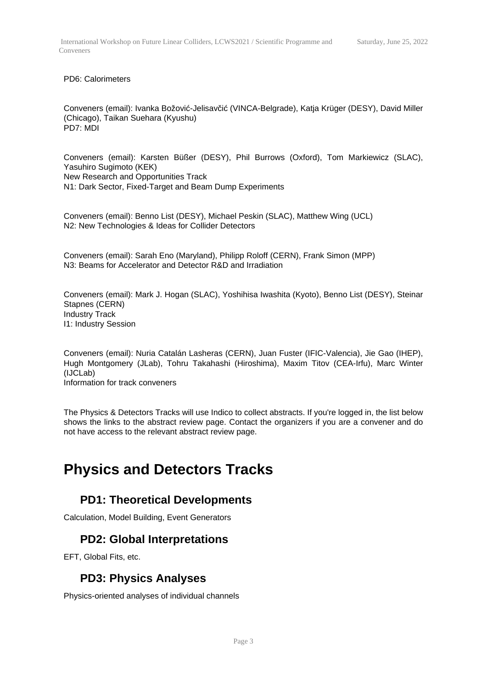#### PD6: Calorimeters

Conveners (email): Ivanka Božović-Jelisavčić (VINCA-Belgrade), Katja Krüger (DESY), David Miller (Chicago), Taikan Suehara (Kyushu) PD7: MDI

Conveners (email): Karsten Büßer (DESY), Phil Burrows (Oxford), Tom Markiewicz (SLAC), Yasuhiro Sugimoto (KEK) New Research and Opportunities Track N1: Dark Sector, Fixed-Target and Beam Dump Experiments

Conveners (email): Benno List (DESY), Michael Peskin (SLAC), Matthew Wing (UCL) N2: New Technologies & Ideas for Collider Detectors

Conveners (email): Sarah Eno (Maryland), Philipp Roloff (CERN), Frank Simon (MPP) N3: Beams for Accelerator and Detector R&D and Irradiation

Conveners (email): Mark J. Hogan (SLAC), Yoshihisa Iwashita (Kyoto), Benno List (DESY), Steinar Stapnes (CERN) Industry Track I1: Industry Session

Conveners (email): Nuria Catalán Lasheras (CERN), Juan Fuster (IFIC-Valencia), Jie Gao (IHEP), Hugh Montgomery (JLab), Tohru Takahashi (Hiroshima), Maxim Titov (CEA-Irfu), Marc Winter (IJCLab) Information for track conveners

The Physics & Detectors Tracks will use Indico to collect abstracts. If you're logged in, the list below shows the links to the abstract review page. Contact the organizers if you are a convener and do not have access to the relevant abstract review page.

## **Physics and Detectors Tracks**

#### **PD1: Theoretical Developments**

Calculation, Model Building, Event Generators

#### **PD2: Global Interpretations**

EFT, Global Fits, etc.

#### **PD3: Physics Analyses**

Physics-oriented analyses of individual channels